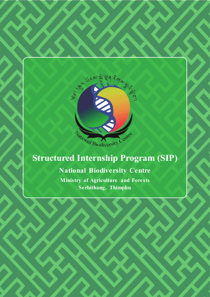

# **Structured Internship Program (SIP)**

# **National Biodiversity Centre**

**Ministry of Agriculture and Forests Serbithang, Thimphu**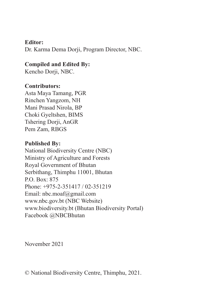#### **Editor:**

Dr. Karma Dema Dorii, Program Director, NBC.

### **Compiled and Edited By:**

Kencho Dorji, NBC.

#### **Contributors:**

Asta Maya Tamang, PGR Rinchen Yangzom, NH Mani Prasad Nirola, BP Choki Gyeltshen, BIMS Tshering Dorii, AnGR Pem Zam, RBGS

### **Published By:**

National Biodiversity Centre (NBC) Ministry of Agriculture and Forests Royal Government of Bhutan Serbithang, Thimphu 11001, Bhutan P.O. Box: 875 Phone: +975-2-351417 / 02-351219 Email: nbc.moaf@gmail.com www.nbc.gov.bt (NBC Website) www.biodiversity.bt (Bhutan Biodiversity Portal) Facebook @NBCBhutan

November 2021

© National Biodiversity Centre, Thimphu, 2021.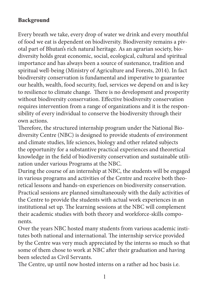# **Background**

Every breath we take, every drop of water we drink and every mouthful of food we eat is dependent on biodiversity. Biodiversity remains a pivotal part of Bhutan's rich natural heritage. As an agrarian society, biodiversity holds great economic, social, ecological, cultural and spiritual importance and has always been a source of sustenance, tradition and spiritual well-being (Ministry of Agriculture and Forests, 2014). In fact biodiversity conservation is fundamental and imperative to guarantee our health, wealth, food security, fuel, services we depend on and is key to resilience to climate change. There is no development and prosperity without biodiversity conservation. Effective biodiversity conservation requires intervention from a range of organizations and it is the responsibility of every individual to conserve the biodiversity through their own actions.

Therefore, the structured internship program under the National Biodiversity Centre (NBC) is designed to provide students of environment and climate studies, life sciences, biology and other related subjects the opportunity for a substantive practical experiences and theoretical knowledge in the field of biodiversity conservation and sustainable utilization under various Programs at the NBC.

During the course of an internship at NBC, the students will be engaged in various programs and activities of the Centre and receive both theoretical lessons and hands-on experiences on biodiversity conservation. Practical sessions are planned simultaneously with the daily activities of the Centre to provide the students with actual work experiences in an institutional set up. The learning sessions at the NBC will complement their academic studies with both theory and workforce-skills components.

Over the years NBC hosted many students from various academic institutes both national and international. The internship service provided by the Centre was very much appreciated by the interns so much so that some of them chose to work at NBC after their graduation and having been selected as Civil Servants.

The Centre, up until now hosted interns on a rather ad hoc basis i.e.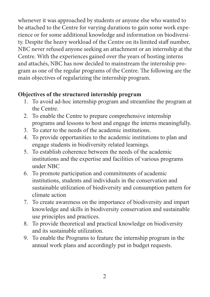whenever it was approached by students or anyone else who wanted to be attached to the Centre for varying durations to gain some work experience or for some additional knowledge and information on biodiversity. Despite the heavy workload of the Centre on its limited staff number, NBC never refused anyone seeking an attachment or an internship at the Centre. With the experiences gained over the years of hosting interns and attachés, NBC has now decided to mainstream the internship program as one of the regular programs of the Centre. The following are the main objectives of regularizing the internship program.

### **Objectives of the structured internship program**

- 1. To avoid ad-hoc internship program and streamline the program at the Centre.
- 2. To enable the Centre to prepare comprehensive internship programs and lessons to host and engage the interns meaningfully.
- 3. To cater to the needs of the academic institutions.
- 4. To provide opportunities to the academic institutions to plan and engage students in biodiversity related learnings.
- 5. To establish coherence between the needs of the academic institutions and the expertise and facilities of various programs under NBC
- 6. To promote participation and commitments of academic institutions, students and individuals in the conservation and sustainable utilization of biodiversity and consumption pattern for climate action
- 7. To create awareness on the importance of biodiversity and impart knowledge and skills in biodiversity conservation and sustainable use principles and practices.
- 8. To provide theoretical and practical knowledge on biodiversity and its sustainable utilization.
- 9. To enable the Programs to feature the internship program in the annual work plans and accordingly put in budget requests.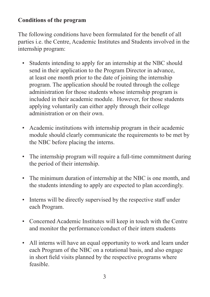### **Conditions of the program**

The following conditions have been formulated for the benefit of all parties i.e. the Centre, Academic Institutes and Students involved in the internship program:

- Students intending to apply for an internship at the NBC should send in their application to the Program Director in advance, at least one month prior to the date of joining the internship program. The application should be routed through the college administration for those students whose internship program is included in their academic module. However, for those students applying voluntarily can either apply through their college administration or on their own.
- Academic institutions with internship program in their academic module should clearly communicate the requirements to be met by the NBC before placing the interns.
- The internship program will require a full-time commitment during the period of their internship.
- The minimum duration of internship at the NBC is one month, and the students intending to apply are expected to plan accordingly.
- Interns will be directly supervised by the respective staff under each Program.
- Concerned Academic Institutes will keep in touch with the Centre and monitor the performance/conduct of their intern students
- All interns will have an equal opportunity to work and learn under each Program of the NBC on a rotational basis, and also engage in short field visits planned by the respective programs where feasible.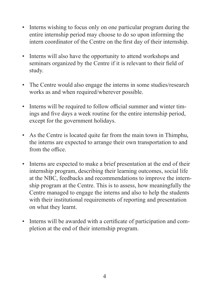- Interns wishing to focus only on one particular program during the entire internship period may choose to do so upon informing the intern coordinator of the Centre on the first day of their internship.
- Interns will also have the opportunity to attend workshops and seminars organized by the Centre if it is relevant to their field of study.
- The Centre would also engage the interns in some studies/research works as and when required/wherever possible.
- Interns will be required to follow official summer and winter timings and five days a week routine for the entire internship period, except for the government holidays.
- As the Centre is located quite far from the main town in Thimphu, the interns are expected to arrange their own transportation to and from the office.
- Interns are expected to make a brief presentation at the end of their internship program, describing their learning outcomes, social life at the NBC, feedbacks and recommendations to improve the internship program at the Centre. This is to assess, how meaningfully the Centre managed to engage the interns and also to help the students with their institutional requirements of reporting and presentation on what they learnt.
- Interns will be awarded with a certificate of participation and completion at the end of their internship program.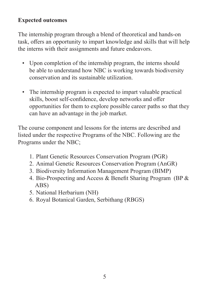# **Expected outcomes**

The internship program through a blend of theoretical and hands-on task, offers an opportunity to impart knowledge and skills that will help the interns with their assignments and future endeavors.

- Upon completion of the internship program, the interns should be able to understand how NBC is working towards biodiversity conservation and its sustainable utilization.
- The internship program is expected to impart valuable practical skills, boost self-confidence, develop networks and offer opportunities for them to explore possible career paths so that they can have an advantage in the job market.

The course component and lessons for the interns are described and listed under the respective Programs of the NBC. Following are the Programs under the NBC;

- 1. Plant Genetic Resources Conservation Program (PGR)
- 2. Animal Genetic Resources Conservation Program (AnGR)
- 3. Biodiversity Information Management Program (BIMP)
- 4. Bio-Prospecting and Access & Benefit Sharing Program (BP & ABS)
- 5. National Herbarium (NH)
- 6. Royal Botanical Garden, Serbithang (RBGS)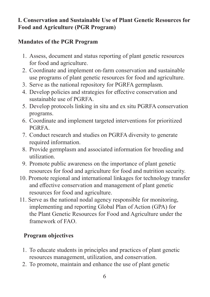### **I. Conservation and Sustainable Use of Plant Genetic Resources for Food and Agriculture (PGR Program)**

# **Mandates of the PGR Program**

- 1. Assess, document and status reporting of plant genetic resources for food and agriculture.
- 2. Coordinate and implement on-farm conservation and sustainable use programs of plant genetic resources for food and agriculture.
- 3. Serve as the national repository for PGRFA germplasm.
- 4. Develop policies and strategies for effective conservation and sustainable use of PGRFA.
- 5. Develop protocols linking in situ and ex situ PGRFA conservation programs.
- 6. Coordinate and implement targeted interventions for prioritized PGRFA.
- 7. Conduct research and studies on PGRFA diversity to generate required information.
- 8. Provide germplasm and associated information for breeding and utilization.
- 9. Promote public awareness on the importance of plant genetic resources for food and agriculture for food and nutrition security.
- 10. Promote regional and international linkages for technology transfer and effective conservation and management of plant genetic resources for food and agriculture.
- 11. Serve as the national nodal agency responsible for monitoring, implementing and reporting Global Plan of Action (GPA) for the Plant Genetic Resources for Food and Agriculture under the framework of FAO.

# **Program objectives**

- 1. To educate students in principles and practices of plant genetic resources management, utilization, and conservation.
- 2. To promote, maintain and enhance the use of plant genetic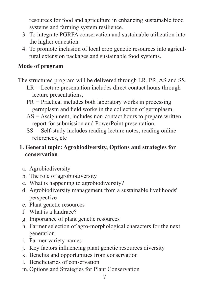resources for food and agriculture in enhancing sustainable food systems and farming system resilience.

- 3. To integrate PGRFA conservation and sustainable utilization into the higher education.
- 4. To promote inclusion of local crop genetic resources into agricultural extension packages and sustainable food systems.

# **Mode of program**

The structured program will be delivered through LR, PR, AS and SS.

- $LR =$  Lecture presentation includes direct contact hours through lecture presentations,
- $PR = Practical$  includes both laboratory works in processing germplasm and field works in the collection of germplasm.
- $AS =$  Assignment, includes non-contact hours to prepare written report for submission and PowerPoint presentation.
- SS = Self-study includes reading lecture notes, reading online references, etc

### **1. General topic: Agrobiodiversity, Options and strategies for conservation**

- a. Agrobiodiversity
- b. The role of agrobiodiversity
- c. What is happening to agrobiodiversity?
- d. Agrobiodiversity management from a sustainable livelihoods' perspective
- e. Plant genetic resources
- f. What is a landrace?
- g. Importance of plant genetic resources
- h. Farmer selection of agro-morphological characters for the next generation
- i. Farmer variety names
- j. Key factors influencing plant genetic resources diversity
- k. Benefits and opportunities from conservation
- l. Beneficiaries of conservation
- m. Options and Strategies for Plant Conservation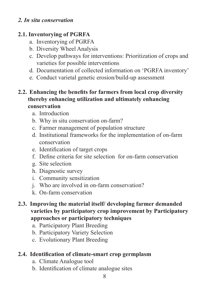### *2. In situ conservation*

### **2.1. Inventorying of PGRFA**

- a. Inventorying of PGRFA
- b. Diversity Wheel Analysis
- c. Develop pathways for interventions: Prioritization of crops and varieties for possible interventions
- d. Documentation of collected information on 'PGRFA inventory'
- e. Conduct varietal genetic erosion/build-up assessment

### **2.2. Enhancing the benefits for farmers from local crop diversity thereby enhancing utilization and ultimately enhancing conservation**

- a. Introduction
- b. Why in situ conservation on-farm?
- c. Farmer management of population structure
- d. Institutional frameworks for the implementation of on-farm conservation
- e. Identification of target crops
- f. Define criteria for site selection for on-farm conservation
- g. Site selection
- h. Diagnostic survey
- i. Community sensitization
- j. Who are involved in on-farm conservation?
- k. On-farm conservation
- **2.3. Improving the material itself/ developing farmer demanded varieties by participatory crop improvement by Participatory approaches or participatory techniques** 
	- a. Participatory Plant Breeding
	- b. Participatory Variety Selection
	- c. Evolutionary Plant Breeding

# **2.4. Identification of climate-smart crop germplasm**

- a. Climate Analogue tool
- b. Identification of climate analogue sites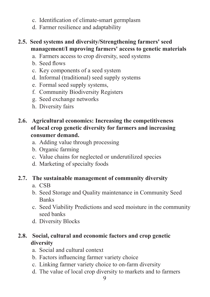- c. Identification of climate-smart germplasm
- d. Farmer resilience and adaptability

# **2.5. Seed systems and diversity/Strengthening farmers' seed management/I mproving farmers' access to genetic materials**

- a. Farmers access to crop diversity, seed systems
- b. Seed flows
- c. Key components of a seed system
- d. Informal (traditional) seed supply systems
- e. Formal seed supply systems,
- f. Community Biodiversity Registers
- g. Seed exchange networks
- h. Diversity fairs

# **2.6. Agricultural economics: Increasing the competitiveness of local crop genetic diversity for farmers and increasing consumer demand.**

- a. Adding value through processing
- b. Organic farming
- c. Value chains for neglected or underutilized species
- d. Marketing of specialty foods

### **2.7. The sustainable management of community diversity**

- a. CSB
- b. Seed Storage and Quality maintenance in Community Seed Banks
- c. Seed Viability Predictions and seed moisture in the community seed banks
- d. Diversity Blocks

# **2.8. Social, cultural and economic factors and crop genetic diversity**

- a. Social and cultural context
- b. Factors influencing farmer variety choice
- c. Linking farmer variety choice to on-farm diversity
- d. The value of local crop diversity to markets and to farmers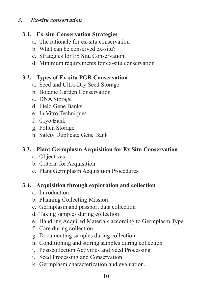#### *3. Ex-situ conservation*

### **3.1. Ex-situ Conservation Strategies**

- a. The rationale for ex-situ conservation
- b. What can be conserved ex-situ?
- c. Strategies for Ex Situ Conservation
- d. Minimum requirements for ex-situ conservation

### **3.2. Types of Ex-situ PGR Conservation**

- a. Seed and Ultra-Dry Seed Storage
- b. Botanic Garden Conservation
- c. DNA Storage
- d. Field Gene Banks
- e. In Vitro Techniques
- f. Cryo Bank
- g. Pollen Storage
- h. Safety Duplicate Gene Bank

### **3.3. Plant Germplasm Acquisition for Ex Situ Conservation**

- a. Objectives
- b. Criteria for Acquisition
- c. Plant Germplasm Acquisition Procedures

### **3.4. Acquisition through exploration and collection**

- a. Introduction
- b. Planning Collecting Mission
- c. Germplasm and passport data collection
- d. Taking samples during collection
- e. Handling Acquired Materials according to Germplasm Type
- f. Care during collection
- g. Documenting samples during collection
- h. Conditioning and storing samples during collection
- i. Post-collection Activities and Seed Processing
- j. Seed Processing and Conservation
- k. Germplasm characterization and evaluation.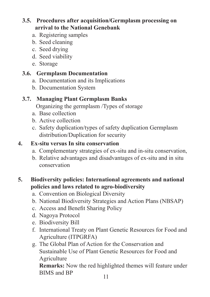# **3.5. Procedures after acquisition/Germplasm processing on arrival to the National Genebank**

- a. Registering samples
- b. Seed cleaning
- c. Seed drying
- d. Seed viability
- e. Storage

# **3.6. Germplasm Documentation**

- a. Documentation and its Implications
- b. Documentation System

# **3.7. Managing Plant Germplasm Banks**

Organizing the germplasm /Types of storage

- a. Base collection
- b. Active collection
- c. Safety duplication/types of safety duplication Germplasm distribution/Duplication for security

# **4. Ex-situ versus In situ conservation**

- a. Complementary strategies of ex-situ and in-situ conservation,
- b. Relative advantages and disadvantages of ex-situ and in situ conservation

# **5. Biodiversity policies: International agreements and national policies and laws related to agro-biodiversity**

- a. Convention on Biological Diversity
- b. National Biodiversity Strategies and Action Plans (NBSAP)
- c. Access and Benefit Sharing Policy
- d. Nagoya Protocol
- e. Biodiversity Bill
- f. International Treaty on Plant Genetic Resources for Food and Agriculture (ITPGRFA)
- g. The Global Plan of Action for the Conservation and Sustainable Use of Plant Genetic Resources for Food and Agriculture

**Remarks:** Now the red highlighted themes will feature under BIMS and BP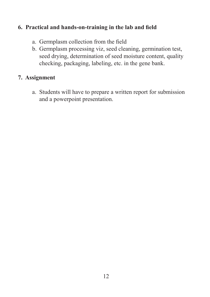### **6. Practical and hands-on-training in the lab and field**

- a. Germplasm collection from the field
- b. Germplasm processing viz, seed cleaning, germination test, seed drying, determination of seed moisture content, quality checking, packaging, labeling, etc. in the gene bank.

### **7. Assignment**

a. Students will have to prepare a written report for submission and a powerpoint presentation.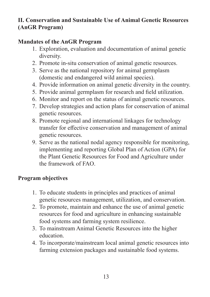# **II. Conservation and Sustainable Use of Animal Genetic Resources (AnGR Program)**

# **Mandates of the AnGR Program**

- 1. Exploration, evaluation and documentation of animal genetic diversity.
- 2. Promote in-situ conservation of animal genetic resources.
- 3. Serve as the national repository for animal germplasm (domestic and endangered wild animal species).
- 4. Provide information on animal genetic diversity in the country.
- 5. Provide animal germplasm for research and field utilization.
- 6. Monitor and report on the status of animal genetic resources.
- 7. Develop strategies and action plans for conservation of animal genetic resources.
- 8. Promote regional and international linkages for technology transfer for effective conservation and management of animal genetic resources.
- 9. Serve as the national nodal agency responsible for monitoring, implementing and reporting Global Plan of Action (GPA) for the Plant Genetic Resources for Food and Agriculture under the framework of FAO.

### **Program objectives**

- 1. To educate students in principles and practices of animal genetic resources management, utilization, and conservation.
- 2. To promote, maintain and enhance the use of animal genetic resources for food and agriculture in enhancing sustainable food systems and farming system resilience.
- 3. To mainstream Animal Genetic Resources into the higher education.
- 4. To incorporate/mainstream local animal genetic resources into farming extension packages and sustainable food systems.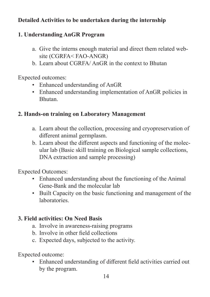# **Detailed Activities to be undertaken during the internship**

# **1. Understanding AnGR Program**

- a. Give the interns enough material and direct them related website (CGRFA< FAO-ANGR)
- b. Learn about CGRFA/ AnGR in the context to Bhutan

Expected outcomes:

- Enhanced understanding of AnGR
- Enhanced understanding implementation of AnGR policies in Bhutan.

### **2. Hands-on training on Laboratory Management**

- a. Learn about the collection, processing and cryopreservation of different animal germplasm.
- b. Learn about the different aspects and functioning of the molecular lab (Basic skill training on Biological sample collections, DNA extraction and sample processing)

Expected Outcomes:

- Enhanced understanding about the functioning of the Animal Gene-Bank and the molecular lab
- Built Capacity on the basic functioning and management of the laboratories.

### **3. Field activities: On Need Basis**

- a. Involve in awareness-raising programs
- b. Involve in other field collections
- c. Expected days, subjected to the activity.

Expected outcome:

• Enhanced understanding of different field activities carried out by the program.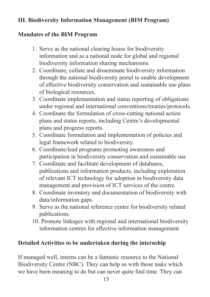# **III. Biodiversity Information Management (BIM Program)**

### **Mandates of the BIM Program**

- 1. Serve as the national clearing house for biodiversity information and as a national node for global and regional biodiversity information sharing mechanisms.
- 2. Coordinate, collate and disseminate biodiversity information through the national biodiversity portal to enable development of effective biodiversity conservation and sustainable use plans of biological resources.
- 3. Coordinate implementation and status reporting of obligations under regional and international conventions/treaties/protocols.
- 4. Coordinate the formulation of cross-cutting national action plans and status reports, including Centre's developmental plans and progress reports.
- 5. Coordinate formulation and implementation of policies and legal framework related to biodiversity.
- 6. Coordinate/lead programs promoting awareness and participation in biodiversity conservation and sustainable use
- 7. Coordinate and facilitate development of databases, publications and information products, including exploration of relevant ICT technology for adoption in biodiversity data management and provision of ICT services of the centre.
- 8. Coordinate inventory and documentation of biodiversity with data/information gaps.
- 9. Serve as the national reference centre for biodiversity related publications.
- 10. Promote linkages with regional and international biodiversity information centres for effective information management.

### **Detailed Activities to be undertaken during the internship**

If managed well, interns can be a fantastic resource to the National Biodiversity Centre (NBC). They can help us with those tasks which we have been meaning to do but can never quite find time. They can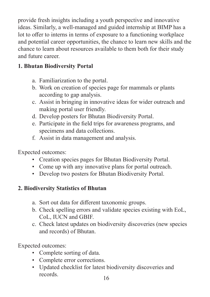provide fresh insights including a youth perspective and innovative ideas. Similarly, a well-managed and guided internship at BIMP has a lot to offer to interns in terms of exposure to a functioning workplace and potential career opportunities, the chance to learn new skills and the chance to learn about resources available to them both for their study and future career.

# **1. Bhutan Biodiversity Portal**

- a. Familiarization to the portal.
- b. Work on creation of species page for mammals or plants according to gap analysis.
- c. Assist in bringing in innovative ideas for wider outreach and making portal user friendly.
- d. Develop posters for Bhutan Biodiversity Portal.
- e. Participate in the field trips for awareness programs, and specimens and data collections.
- f. Assist in data management and analysis.

Expected outcomes:

- Creation species pages for Bhutan Biodiversity Portal.
- Come up with any innovative plans for portal outreach.
- Develop two posters for Bhutan Biodiversity Portal.

# **2. Biodiversity Statistics of Bhutan**

- a. Sort out data for different taxonomic groups.
- b. Check spelling errors and validate species existing with EoL, CoL, IUCN and GBIF.
- c. Check latest updates on biodiversity discoveries (new species and records) of Bhutan.

Expected outcomes:

- Complete sorting of data.
- Complete error corrections.
- Updated checklist for latest biodiversity discoveries and records.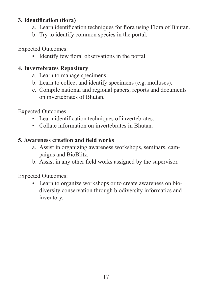### **3. Identification (flora)**

- a. Learn identification techniques for flora using Flora of Bhutan.
- b. Try to identify common species in the portal.

Expected Outcomes:

• Identify few floral observations in the portal.

### **4. Invertebrates Repository**

- a. Learn to manage specimens.
- b. Learn to collect and identify specimens (e.g. molluscs).
- c. Compile national and regional papers, reports and documents on invertebrates of Bhutan.

Expected Outcomes:

- Learn identification techniques of invertebrates.
- Collate information on invertebrates in Bhutan.

### **5. Awareness creation and field works**

- a. Assist in organizing awareness workshops, seminars, campaigns and BioBlitz.
- b. Assist in any other field works assigned by the supervisor.

Expected Outcomes:

• Learn to organize workshops or to create awareness on biodiversity conservation through biodiversity informatics and inventory.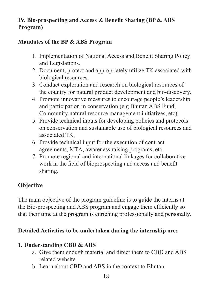# **IV. Bio-prospecting and Access & Benefit Sharing (BP & ABS Program)**

### **Mandates of the BP & ABS Program**

- 1. Implementation of National Access and Benefit Sharing Policy and Legislations.
- 2. Document, protect and appropriately utilize TK associated with biological resources.
- 3. Conduct exploration and research on biological resources of the country for natural product development and bio-discovery.
- 4. Promote innovative measures to encourage people's leadership and participation in conservation (e.g Bhutan ABS Fund, Community natural resource management initiatives, etc).
- 5. Provide technical inputs for developing policies and protocols on conservation and sustainable use of biological resources and associated TK.
- 6. Provide technical input for the execution of contract agreements, MTA, awareness raising programs, etc.
- 7. Promote regional and international linkages for collaborative work in the field of bioprospecting and access and benefit sharing.

# **Objective**

The main objective of the program guideline is to guide the interns at the Bio-prospecting and ABS program and engage them efficiently so that their time at the program is enriching professionally and personally.

### **Detailed Activities to be undertaken during the internship are:**

### **1. Understanding CBD & ABS**

- a. Give them enough material and direct them to CBD and ABS related website
- b. Learn about CBD and ABS in the context to Bhutan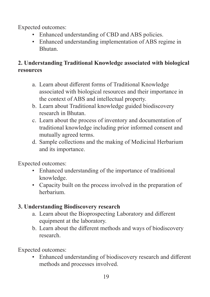Expected outcomes:

- Enhanced understanding of CBD and ABS policies.
- Enhanced understanding implementation of ABS regime in Bhutan.

# **2. Understanding Traditional Knowledge associated with biological resources**

- a. Learn about different forms of Traditional Knowledge associated with biological resources and their importance in the context of ABS and intellectual property.
- b. Learn about Traditional knowledge guided biodiscovery research in Bhutan.
- c. Learn about the process of inventory and documentation of traditional knowledge including prior informed consent and mutually agreed terms.
- d. Sample collections and the making of Medicinal Herbarium and its importance.

Expected outcomes:

- Enhanced understanding of the importance of traditional knowledge.
- Capacity built on the process involved in the preparation of herbarium.

# **3. Understanding Biodiscovery research**

- a. Learn about the Bioprospecting Laboratory and different equipment at the laboratory.
- b. Learn about the different methods and ways of biodiscovery research.

Expected outcomes:

• Enhanced understanding of biodiscovery research and different methods and processes involved.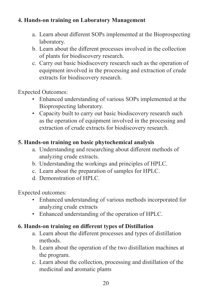### **4. Hands-on training on Laboratory Management**

- a. Learn about different SOPs implemented at the Bioprospecting laboratory.
- b. Learn about the different processes involved in the collection of plants for biodiscovery research.
- c. Carry out basic biodiscovery research such as the operation of equipment involved in the processing and extraction of crude extracts for biodiscovery research.

Expected Outcomes:

- Enhanced understanding of various SOPs implemented at the Bioprospecting laboratory.
- Capacity built to carry out basic biodiscovery research such as the operation of equipment involved in the processing and extraction of crude extracts for biodiscovery research.

### **5. Hands-on training on basic phytochemical analysis**

- a. Understanding and researching about different methods of analyzing crude extracts.
- b. Understanding the workings and principles of HPLC.
- c. Learn about the preparation of samples for HPLC.
- d. Demonstration of HPLC.

Expected outcomes:

- Enhanced understanding of various methods incorporated for analyzing crude extracts
- Enhanced understanding of the operation of HPLC.

### **6. Hands-on training on different types of Distillation**

- a. Learn about the different processes and types of distillation methods.
- b. Learn about the operation of the two distillation machines at the program.
- c. Learn about the collection, processing and distillation of the medicinal and aromatic plants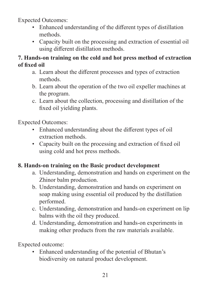Expected Outcomes:

- Enhanced understanding of the different types of distillation methods.
- Capacity built on the processing and extraction of essential oil using different distillation methods.

#### **7. Hands-on training on the cold and hot press method of extraction of fixed oil**

- a. Learn about the different processes and types of extraction methods.
- b. Learn about the operation of the two oil expeller machines at the program.
- c. Learn about the collection, processing and distillation of the fixed oil yielding plants.

Expected Outcomes:

- Enhanced understanding about the different types of oil extraction methods.
- Capacity built on the processing and extraction of fixed oil using cold and hot press methods.

### **8. Hands-on training on the Basic product development**

- a. Understanding, demonstration and hands on experiment on the Zhinor balm production.
- b. Understanding, demonstration and hands on experiment on soap making using essential oil produced by the distillation performed.
- c. Understanding, demonstration and hands-on experiment on lip balms with the oil they produced.
- d. Understanding, demonstration and hands-on experiments in making other products from the raw materials available.

Expected outcome:

• Enhanced understanding of the potential of Bhutan's biodiversity on natural product development.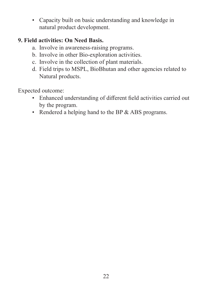• Capacity built on basic understanding and knowledge in natural product development.

### **9. Field activities: On Need Basis.**

- a. Involve in awareness-raising programs.
- b. Involve in other Bio-exploration activities.
- c. Involve in the collection of plant materials.
- d. Field trips to MSPL, BioBhutan and other agencies related to Natural products.

Expected outcome:

- Enhanced understanding of different field activities carried out by the program.
- Rendered a helping hand to the BP & ABS programs.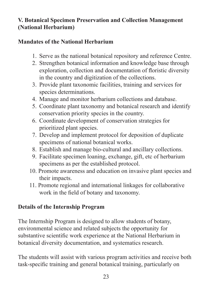# **V. Botanical Specimen Preservation and Collection Management (National Herbarium)**

### **Mandates of the National Herbarium**

- 1. Serve as the national botanical repository and reference Centre.
- 2. Strengthen botanical information and knowledge base through exploration, collection and documentation of floristic diversity in the country and digitization of the collections.
- 3. Provide plant taxonomic facilities, training and services for species determinations.
- 4. Manage and monitor herbarium collections and database.
- 5. Coordinate plant taxonomy and botanical research and identify conservation priority species in the country.
- 6. Coordinate development of conservation strategies for prioritized plant species.
- 7. Develop and implement protocol for deposition of duplicate specimens of national botanical works.
- 8. Establish and manage bio-cultural and ancillary collections.
- 9. Facilitate specimen loaning, exchange, gift, etc of herbarium specimens as per the established protocol.
- 10. Promote awareness and education on invasive plant species and their impacts.
- 11. Promote regional and international linkages for collaborative work in the field of botany and taxonomy.

### **Details of the Internship Program**

The Internship Program is designed to allow students of botany, environmental science and related subjects the opportunity for substantive scientific work experience at the National Herbarium in botanical diversity documentation, and systematics research.

The students will assist with various program activities and receive both task-specific training and general botanical training, particularly on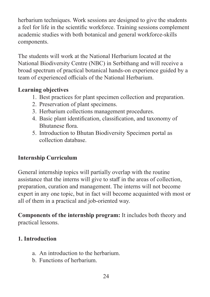herbarium techniques. Work sessions are designed to give the students a feel for life in the scientific workforce. Training sessions complement academic studies with both botanical and general workforce-skills components.

The students will work at the National Herbarium located at the National Biodiversity Centre (NBC) in Serbithang and will receive a broad spectrum of practical botanical hands-on experience guided by a team of experienced officials of the National Herbarium.

# **Learning objectives**

- 1. Best practices for plant specimen collection and preparation.
- 2. Preservation of plant specimens.
- 3. Herbarium collections management procedures.
- 4. Basic plant identification, classification, and taxonomy of Bhutanese flora.
- 5. Introduction to Bhutan Biodiversity Specimen portal as collection database.

# **Internship Curriculum**

General internship topics will partially overlap with the routine assistance that the interns will give to staff in the areas of collection, preparation, curation and management. The interns will not become expert in any one topic, but in fact will become acquainted with most or all of them in a practical and job-oriented way.

**Components of the internship program:** It includes both theory and practical lessons.

### **1. Introduction**

- a. An introduction to the herbarium.
- b. Functions of herbarium.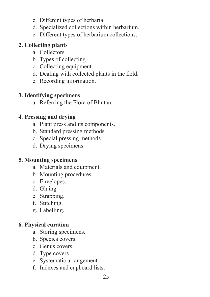- c. Different types of herbaria.
- d. Specialized collections within herbarium.
- e. Different types of herbarium collections.

### **2. Collecting plants**

- a. Collectors.
- b. Types of collecting.
- c. Collecting equipment.
- d. Dealing with collected plants in the field.
- e. Recording information.

### **3. Identifying specimens**

a. Referring the Flora of Bhutan.

### **4. Pressing and drying**

- a. Plant press and its components.
- b. Standard pressing methods.
- c. Special pressing methods.
- d. Drying specimens.

### **5. Mounting specimens**

- a. Materials and equipment.
- b. Mounting procedures.
- c. Envelopes.
- d. Gluing.
- e. Strapping.
- f. Stitching.
- g. Labelling.

### **6. Physical curation**

- a. Storing specimens.
- b. Species covers.
- c. Genus covers.
- d. Type covers.
- e. Systematic arrangement.
- f. Indexes and cupboard lists.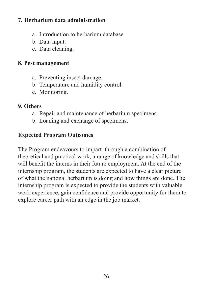### **7. Herbarium data administration**

- a. Introduction to herbarium database.
- b. Data input.
- c. Data cleaning.

### **8. Pest management**

- a. Preventing insect damage.
- b. Temperature and humidity control.
- c. Monitoring.

### **9. Others**

- a. Repair and maintenance of herbarium specimens.
- b. Loaning and exchange of specimens.

# **Expected Program Outcomes**

The Program endeavours to impart, through a combination of theoretical and practical work, a range of knowledge and skills that will benefit the interns in their future employment. At the end of the internship program, the students are expected to have a clear picture of what the national herbarium is doing and how things are done. The internship program is expected to provide the students with valuable work experience, gain confidence and provide opportunity for them to explore career path with an edge in the job market.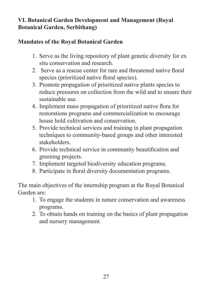# **VI. Botanical Garden Development and Management (Royal Botanical Garden, Serbithang)**

# **Mandates of the Royal Botanical Garden**

- 1. Serve as the living repository of plant genetic diversity for ex situ conservation and research.
- 2. Serve as a rescue center for rare and threatened native floral species (prioritized native floral species).
- 3. Promote propagation of prioritized native plants species to reduce pressures on collection from the wild and to ensure their sustainable use.
- 4. Implement mass propagation of prioritized native flora for restorations programs and commercialization to encourage house hold cultivation and conservation.
- 5. Provide technical services and training in plant propagation techniques to community-based groups and other interested stakeholders.
- 6. Provide technical service in community beautification and greening projects.
- 7. Implement targeted biodiversity education programs.
- 8. Participate in floral diversity documentation programs.

The main objectives of the internship program at the Royal Botanical Garden are:

- 1. To engage the students in nature conservation and awareness programs.
- 2. To obtain hands on training on the basics of plant propagation and nursery management.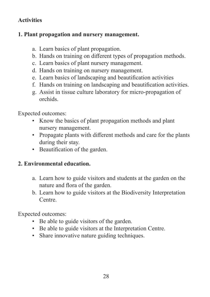# **Activities**

### **1. Plant propagation and nursery management.**

- a. Learn basics of plant propagation.
- b. Hands on training on different types of propagation methods.
- c. Learn basics of plant nursery management.
- d. Hands on training on nursery management.
- e. Learn basics of landscaping and beautification activities
- f. Hands on training on landscaping and beautification activities.
- g. Assist in tissue culture laboratory for micro-propagation of orchids.

Expected outcomes:

- Know the basics of plant propagation methods and plant nursery management.
- Propagate plants with different methods and care for the plants during their stay.
- Beautification of the garden.

### **2. Environmental education.**

- a. Learn how to guide visitors and students at the garden on the nature and flora of the garden.
- b. Learn how to guide visitors at the Biodiversity Interpretation Centre.

Expected outcomes:

- Be able to guide visitors of the garden.
- Be able to guide visitors at the Interpretation Centre.
- Share innovative nature guiding techniques.